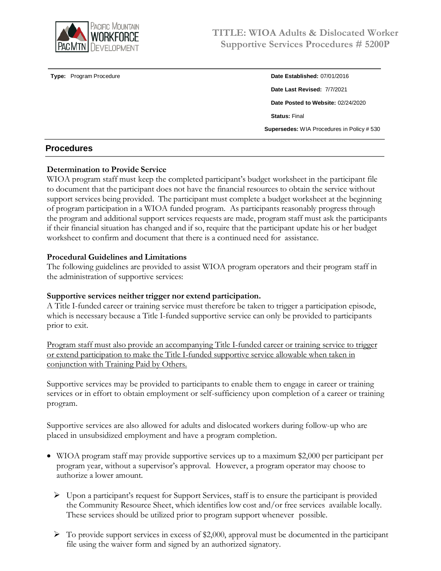

**Type:** Program Procedure **Date Established:** 07/01/2016 **Date Last Revised:** 7/7/2021 **Date Posted to Website:** 02/24/2020 **Status:** Final **Supersedes:** WIA Procedures in Policy # 530

## **Procedures**

#### **Determination to Provide Service**

WIOA program staff must keep the completed participant's budget worksheet in the participant file to document that the participant does not have the financial resources to obtain the service without support services being provided. The participant must complete a budget worksheet at the beginning of program participation in a WIOA funded program. As participants reasonably progress through the program and additional support services requests are made, program staff must ask the participants if their financial situation has changed and if so, require that the participant update his or her budget worksheet to confirm and document that there is a continued need for assistance.

#### **Procedural Guidelines and Limitations**

The following guidelines are provided to assist WIOA program operators and their program staff in the administration of supportive services:

#### **Supportive services neither trigger nor extend participation.**

A Title I-funded career or training service must therefore be taken to trigger a participation episode, which is necessary because a Title I-funded supportive service can only be provided to participants prior to exit.

Program staff must also provide an accompanying Title I-funded career or training service to trigger or extend participation to make the Title I-funded supportive service allowable when taken in conjunction with Training Paid by Others.

Supportive services may be provided to participants to enable them to engage in career or training services or in effort to obtain employment or self-sufficiency upon completion of a career or training program.

Supportive services are also allowed for adults and dislocated workers during follow-up who are placed in unsubsidized employment and have a program completion.

- WIOA program staff may provide supportive services up to a maximum \$2,000 per participant per program year, without a supervisor's approval. However, a program operator may choose to authorize a lower amount.
	- $\triangleright$  Upon a participant's request for Support Services, staff is to ensure the participant is provided the Community Resource Sheet, which identifies low cost and/or free services available locally. These services should be utilized prior to program support whenever possible.
	- To provide support services in excess of \$2,000, approval must be documented in the participant file using the waiver form and signed by an authorized signatory.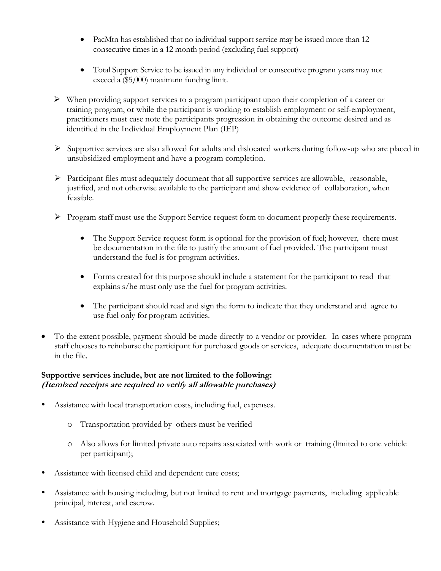- PacMtn has established that no individual support service may be issued more than 12 consecutive times in a 12 month period (excluding fuel support)
- Total Support Service to be issued in any individual or consecutive program years may not exceed a (\$5,000) maximum funding limit.
- $\triangleright$  When providing support services to a program participant upon their completion of a career or training program, or while the participant is working to establish employment or self-employment, practitioners must case note the participants progression in obtaining the outcome desired and as identified in the Individual Employment Plan (IEP)
- $\triangleright$  Supportive services are also allowed for adults and dislocated workers during follow-up who are placed in unsubsidized employment and have a program completion.
- Participant files must adequately document that all supportive services are allowable, reasonable, justified, and not otherwise available to the participant and show evidence of collaboration, when feasible.
- $\triangleright$  Program staff must use the Support Service request form to document properly these requirements.
	- The Support Service request form is optional for the provision of fuel; however, there must be documentation in the file to justify the amount of fuel provided. The participant must understand the fuel is for program activities.
	- Forms created for this purpose should include a statement for the participant to read that explains s/he must only use the fuel for program activities.
	- The participant should read and sign the form to indicate that they understand and agree to use fuel only for program activities.
- To the extent possible, payment should be made directly to a vendor or provider. In cases where program staff chooses to reimburse the participant for purchased goods or services, adequate documentation must be in the file.

## **Supportive services include, but are not limited to the following: (Itemized receipts are required to verify all allowable purchases)**

- Assistance with local transportation costs, including fuel, expenses.
	- o Transportation provided by others must be verified
	- o Also allows for limited private auto repairs associated with work or training (limited to one vehicle per participant);
- Assistance with licensed child and dependent care costs;
- Assistance with housing including, but not limited to rent and mortgage payments, including applicable principal, interest, and escrow.
- Assistance with Hygiene and Household Supplies;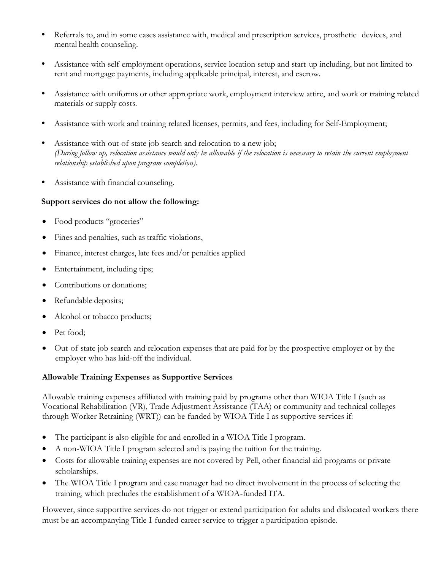- Referrals to, and in some cases assistance with, medical and prescription services, prosthetic devices, and mental health counseling.
- Assistance with self-employment operations, service location setup and start-up including, but not limited to rent and mortgage payments, including applicable principal, interest, and escrow.
- Assistance with uniforms or other appropriate work, employment interview attire, and work or training related materials or supply costs.
- Assistance with work and training related licenses, permits, and fees, including for Self-Employment;
- Assistance with out-of-state job search and relocation to a new job; *(During follow up, relocation assistance would only be allowable if the relocation is necessary to retain the current employment relationship established upon program completion).*
- Assistance with financial counseling.

### **Support services do not allow the following:**

- Food products "groceries"
- Fines and penalties, such as traffic violations,
- Finance, interest charges, late fees and/or penalties applied
- Entertainment, including tips;
- Contributions or donations;
- Refundable deposits;
- Alcohol or tobacco products;
- Pet food;
- Out-of-state job search and relocation expenses that are paid for by the prospective employer or by the employer who has laid-off the individual.

### **Allowable Training Expenses as Supportive Services**

Allowable training expenses affiliated with training paid by programs other than WIOA Title I (such as Vocational Rehabilitation (VR), Trade Adjustment Assistance (TAA) or community and technical colleges through Worker Retraining (WRT)) can be funded by WIOA Title I as supportive services if:

- The participant is also eligible for and enrolled in a WIOA Title I program.
- A non-WIOA Title I program selected and is paying the tuition for the training.
- Costs for allowable training expenses are not covered by Pell, other financial aid programs or private scholarships.
- The WIOA Title I program and case manager had no direct involvement in the process of selecting the training, which precludes the establishment of a WIOA-funded ITA.

However, since supportive services do not trigger or extend participation for adults and dislocated workers there must be an accompanying Title I-funded career service to trigger a participation episode.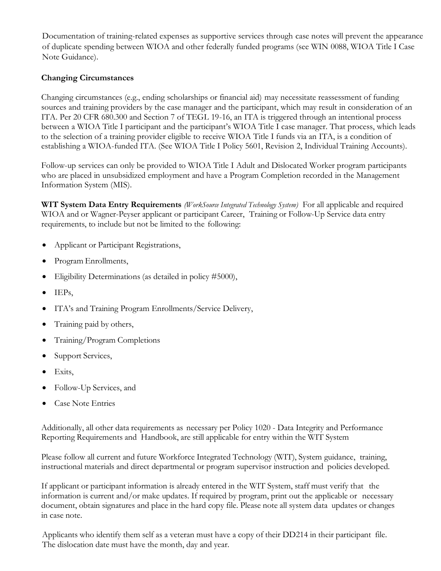Documentation of training-related expenses as supportive services through case notes will prevent the appearance of duplicate spending between WIOA and other federally funded programs (see WIN 0088, WIOA Title I Case Note Guidance).

# **Changing Circumstances**

Changing circumstances (e.g., ending scholarships or financial aid) may necessitate reassessment of funding sources and training providers by the case manager and the participant, which may result in consideration of an ITA. Per 20 CFR 680.300 and Section 7 of TEGL 19-16, an ITA is triggered through an intentional process between a WIOA Title I participant and the participant's WIOA Title I case manager. That process, which leads to the selection of a training provider eligible to receive WIOA Title I funds via an ITA, is a condition of establishing a WIOA-funded ITA. (See WIOA Title I Policy 5601, Revision 2, Individual Training Accounts).

Follow-up services can only be provided to WIOA Title I Adult and Dislocated Worker program participants who are placed in unsubsidized employment and have a Program Completion recorded in the Management Information System (MIS).

**WIT System Data Entry Requirements** *(WorkSource Integrated Technology System)* For all applicable and required WIOA and or Wagner-Peyser applicant or participant Career, Training or Follow-Up Service data entry requirements, to include but not be limited to the following:

- Applicant or Participant Registrations,
- Program Enrollments,
- Eligibility Determinations (as detailed in policy #5000),
- $\bullet$  IEPs,
- ITA's and Training Program Enrollments/Service Delivery,
- Training paid by others,
- Training/Program Completions
- Support Services,
- $\bullet$  Exits,
- Follow-Up Services, and
- Case Note Entries

Additionally, all other data requirements as necessary per Policy 1020 - Data Integrity and Performance Reporting Requirements and Handbook, are still applicable for entry within the WIT System

Please follow all current and future Workforce Integrated Technology (WIT), System guidance, training, instructional materials and direct departmental or program supervisor instruction and policies developed.

If applicant or participant information is already entered in the WIT System, staff must verify that the information is current and/or make updates. If required by program, print out the applicable or necessary document, obtain signatures and place in the hard copy file. Please note all system data updates or changes in case note.

Applicants who identify them self as a veteran must have a copy of their DD214 in their participant file. The dislocation date must have the month, day and year.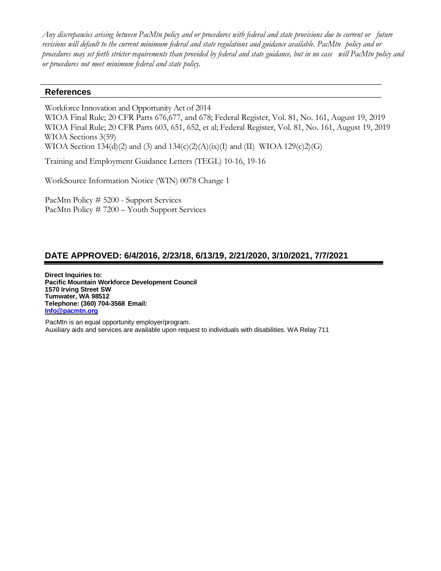Any discrepancies arising between PacMtn policy and or procedures with federal and state provisions due to current or future revisions will default to the current minimum federal and state regulations and guidance available. PacMtn policy and or procedures may set forth stricter requirements than provided by federal and state guidance, but in no case will PacMtn policy and *or procedures not meet minimum federal and state policy.*

#### **References**

Workforce Innovation and Opportunity Act of 2014 WIOA Final Rule; 20 CFR Parts 676,677, and 678; Federal Register, Vol. 81, No. 161, August 19, 2019 WIOA Final Rule; 20 CFR Parts 603, 651, 652, et al; Federal Register, Vol. 81, No. 161, August 19, 2019 WIOA Sections 3(59) WIOA Section 134(d)(2) and (3) and 134(c)(2)(A)(ix)(I) and (II) WIOA 129(c)2)(G)

Training and Employment Guidance Letters (TEGL) 10-16, 19-16

WorkSource Information Notice (WIN) 0078 Change 1

PacMtn Policy # 5200 - Support Services PacMtn Policy # 7200 – Youth Support Services

# **DATE APPROVED: 6/4/2016, 2/23/18, 6/13/19, 2/21/2020, 3/10/2021, 7/7/2021**

**Direct Inquiries to: Pacific Mountain Workforce Development Council 1570 Irving Street SW Tumwater, WA 98512 Telephone: (360) 704-3568 Email: [Info@pacmtn.org](mailto:Info@pacmtn.org)**

PacMtn is an equal opportunity employer/program. Auxiliary aids and services are available upon request to individuals with disabilities. WA Relay 711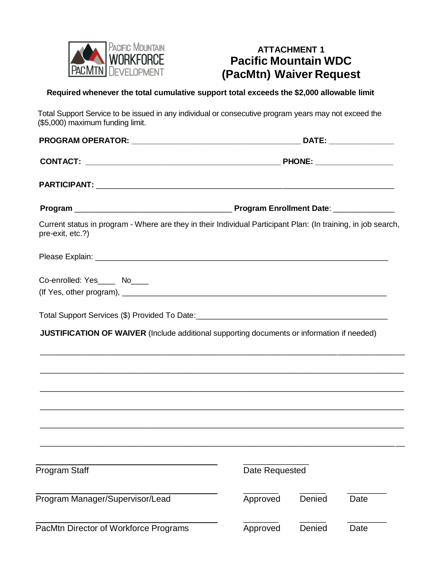

# **ATTACHMENT 1 Pacific Mountain WDC (PacMtn) Waiver Request**

# **Required whenever the total cumulative support total exceeds the \$2,000 allowable limit**

Total Support Service to be issued in any individual or consecutive program years may not exceed the (\$5,000) maximum funding limit.

| Current status in program - Where are they in their Individual Participant Plan: (In training, in job search,<br>pre-exit, etc.?) |                |        |      |  |
|-----------------------------------------------------------------------------------------------------------------------------------|----------------|--------|------|--|
|                                                                                                                                   |                |        |      |  |
| Co-enrolled: Yes_____ No_____                                                                                                     |                |        |      |  |
|                                                                                                                                   |                |        |      |  |
| <b>JUSTIFICATION OF WAIVER</b> (Include additional supporting documents or information if needed)                                 |                |        |      |  |
|                                                                                                                                   |                |        |      |  |
|                                                                                                                                   |                |        |      |  |
| Program Staff                                                                                                                     | Date Requested |        |      |  |
| Program Manager/Supervisor/Lead                                                                                                   | Approved       | Denied | Date |  |
| PacMtn Director of Workforce Programs                                                                                             | Approved       | Denied | Date |  |